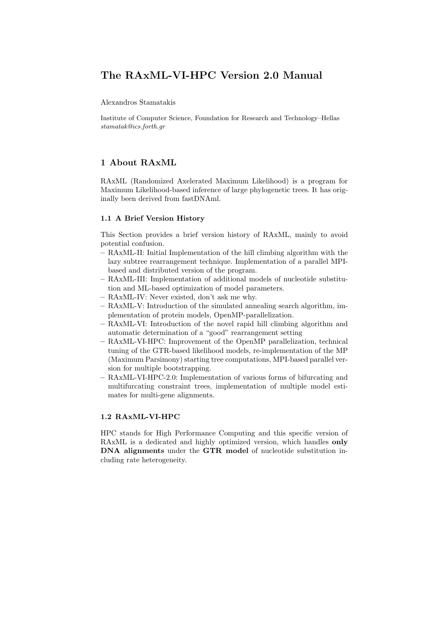# The RAxML-VI-HPC Version 2.0 Manual

Alexandros Stamatakis

Institute of Computer Science, Foundation for Research and Technology–Hellas stamatak@ics.forth.gr

# 1 About RAxML

RAxML (Randomized Axelerated Maximum Likelihood) is a program for Maximum Likelihood-based inference of large phylogenetic trees. It has originally been derived from fastDNAml.

# 1.1 A Brief Version History

This Section provides a brief version history of RAxML, mainly to avoid potential confusion.

- RAxML-II: Initial Implementation of the hill climbing algorithm with the lazy subtree rearrangement technique. Implementation of a parallel MPIbased and distributed version of the program.
- RAxML-III: Implementation of additional models of nucleotide substitution and ML-based optimization of model parameters.
- RAxML-IV: Never existed, don't ask me why.
- RAxML-V: Introduction of the simulated annealing search algorithm, implementation of protein models, OpenMP-parallelization.
- RAxML-VI: Introduction of the novel rapid hill climbing algorithm and automatic determination of a "good" rearrangement setting
- RAxML-VI-HPC: Improvement of the OpenMP parallelization, technical tuning of the GTR-based likelihood models, re-implementation of the MP (Maximum Parsimony) starting tree computations, MPI-based parallel version for multiple bootstrapping.
- RAxML-VI-HPC-2.0: Implementation of various forms of bifurcating and multifurcating constraint trees, implementation of multiple model estimates for multi-gene alignments.

# 1.2 RAxML-VI-HPC

HPC stands for High Performance Computing and this specific version of RAxML is a dedicated and highly optimized version, which handles only DNA alignments under the GTR model of nucleotide substitution including rate heterogeneity.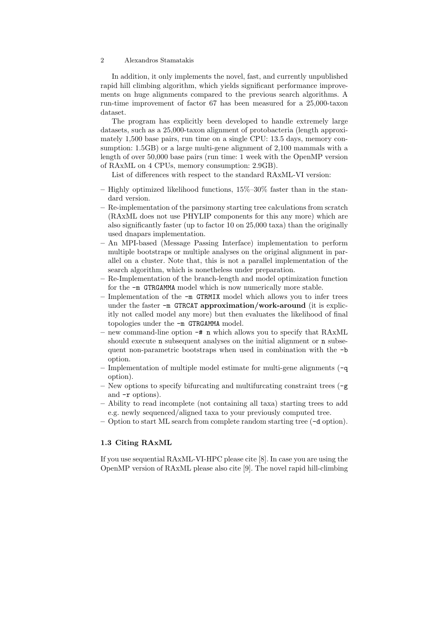In addition, it only implements the novel, fast, and currently unpublished rapid hill climbing algorithm, which yields significant performance improvements on huge alignments compared to the previous search algorithms. A run-time improvement of factor 67 has been measured for a 25,000-taxon dataset.

The program has explicitly been developed to handle extremely large datasets, such as a 25,000-taxon alignment of protobacteria (length approximately 1,500 base pairs, run time on a single CPU: 13.5 days, memory consumption: 1.5GB) or a large multi-gene alignment of 2,100 mammals with a length of over 50,000 base pairs (run time: 1 week with the OpenMP version of RAxML on 4 CPUs, memory consumption: 2.9GB).

List of differences with respect to the standard RAxML-VI version:

- Highly optimized likelihood functions,  $15\%$ – $30\%$  faster than in the standard version.
- Re-implementation of the parsimony starting tree calculations from scratch (RAxML does not use PHYLIP components for this any more) which are also significantly faster (up to factor 10 on 25,000 taxa) than the originally used dnapars implementation.
- An MPI-based (Message Passing Interface) implementation to perform multiple bootstraps or multiple analyses on the original alignment in parallel on a cluster. Note that, this is not a parallel implementation of the search algorithm, which is nonetheless under preparation.
- Re-Implementation of the branch-length and model optimization function for the -m GTRGAMMA model which is now numerically more stable.
- Implementation of the -m GTRMIX model which allows you to infer trees under the faster -m GTRCAT approximation/work-around (it is explicitly not called model any more) but then evaluates the likelihood of final topologies under the -m GTRGAMMA model.
- new command-line option -# n which allows you to specify that RAxML should execute **n** subsequent analyses on the initial alignment or **n** subsequent non-parametric bootstraps when used in combination with the -b option.
- Implementation of multiple model estimate for multi-gene alignments (-q option).
- New options to specify bifurcating and multifurcating constraint trees (-g and -r options).
- Ability to read incomplete (not containing all taxa) starting trees to add e.g. newly sequenced/aligned taxa to your previously computed tree.
- Option to start ML search from complete random starting tree (-d option).

# 1.3 Citing RAxML

If you use sequential RAxML-VI-HPC please cite [8]. In case you are using the OpenMP version of RAxML please also cite [9]. The novel rapid hill-climbing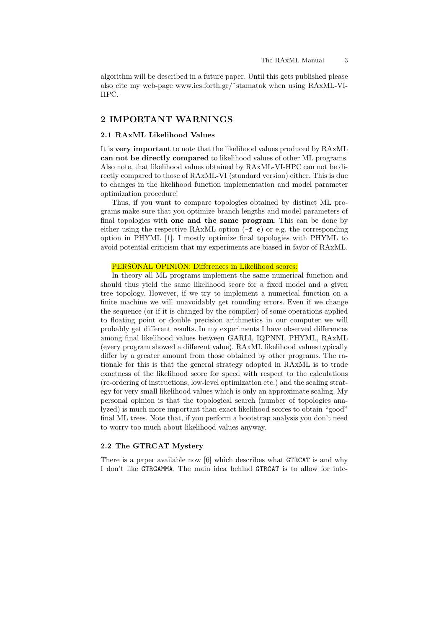algorithm will be described in a future paper. Until this gets published please also cite my web-page www.ics.forth.gr/˜stamatak when using RAxML-VI-HPC.

# 2 IMPORTANT WARNINGS

### 2.1 RAxML Likelihood Values

It is very important to note that the likelihood values produced by RAxML can not be directly compared to likelihood values of other ML programs. Also note, that likelihood values obtained by RAxML-VI-HPC can not be directly compared to those of RAxML-VI (standard version) either. This is due to changes in the likelihood function implementation and model parameter optimization procedure!

Thus, if you want to compare topologies obtained by distinct ML programs make sure that you optimize branch lengths and model parameters of final topologies with one and the same program. This can be done by either using the respective RAxML option (-f e) or e.g. the corresponding option in PHYML [1]. I mostly optimize final topologies with PHYML to avoid potential criticism that my experiments are biased in favor of RAxML.

# PERSONAL OPINION: Differences in Likelihood scores:

In theory all ML programs implement the same numerical function and should thus yield the same likelihood score for a fixed model and a given tree topology. However, if we try to implement a numerical function on a finite machine we will unavoidably get rounding errors. Even if we change the sequence (or if it is changed by the compiler) of some operations applied to floating point or double precision arithmetics in our computer we will probably get different results. In my experiments I have observed differences among final likelihood values between GARLI, IQPNNI, PHYML, RAxML (every program showed a different value). RAxML likelihood values typically differ by a greater amount from those obtained by other programs. The rationale for this is that the general strategy adopted in RAxML is to trade exactness of the likelihood score for speed with respect to the calculations (re-ordering of instructions, low-level optimization etc.) and the scaling strategy for very small likelihood values which is only an approximate scaling. My personal opinion is that the topological search (number of topologies analyzed) is much more important than exact likelihood scores to obtain "good" final ML trees. Note that, if you perform a bootstrap analysis you don't need to worry too much about likelihood values anyway.

# 2.2 The GTRCAT Mystery

There is a paper available now [6] which describes what GTRCAT is and why I don't like GTRGAMMA. The main idea behind GTRCAT is to allow for inte-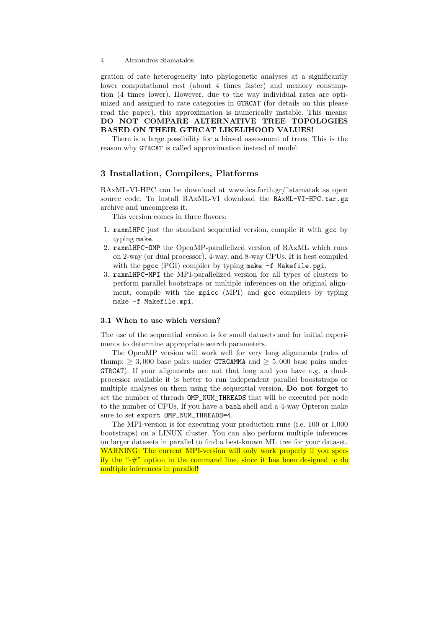gration of rate heterogeneity into phylogenetic analyses at a significantly lower computational cost (about 4 times faster) and memory consumption (4 times lower). However, due to the way individual rates are optimized and assigned to rate categories in GTRCAT (for details on this please read the paper), this approximation is numerically instable. This means: DO NOT COMPARE ALTERNATIVE TREE TOPOLOGIES BASED ON THEIR GTRCAT LIKELIHOOD VALUES!

There is a large possibility for a biased assessment of trees. This is the reason why GTRCAT is called approximation instead of model.

# 3 Installation, Compilers, Platforms

RAxML-VI-HPC can be download at www.ics.forth.gr/˜stamatak as open source code. To install RAxML-VI download the RAxML-VI-HPC.tar.gz archive and uncompress it.

This version comes in three flavors:

- 1. raxmlHPC just the standard sequential version, compile it with gcc by typing make.
- 2. raxmlHPC-OMP the OpenMP-parallelized version of RAxML which runs on 2-way (or dual processor), 4-way, and 8-way CPUs. It is best compiled with the pgcc (PGI) compiler by typing make -f Makefile.pgi.
- 3. raxmlHPC-MPI the MPI-parallelized version for all types of clusters to perform parallel bootstraps or multiple inferences on the original alignment, compile with the mpicc (MPI) and gcc compilers by typing make -f Makefile.mpi.

### 3.1 When to use which version?

The use of the sequential version is for small datasets and for initial experiments to determine appropriate search parameters.

The OpenMP version will work well for very long alignments (rules of thump:  $\geq 3,000$  base pairs under GTRGAMMA and  $\geq 5,000$  base pairs under GTRCAT). If your alignments are not that long and you have e.g. a dualprocessor available it is better to run independent parallel booststraps or multiple analyses on them using the sequential version. Do not forget to set the number of threads OMP\_NUM\_THREADS that will be executed per node to the number of CPUs. If you have a bash shell and a 4-way Opteron make sure to set export OMP\_NUM\_THREADS=4.

The MPI-version is for executing your production runs (i.e. 100 or 1,000 bootstraps) on a LINUX cluster. You can also perform multiple inferences on larger datasets in parallel to find a best-known ML tree for your dataset. WARNING: The current MPI-version will only work properly if you specify the "-#" option in the command line, since it has been designed to do multiple inferences in parallel!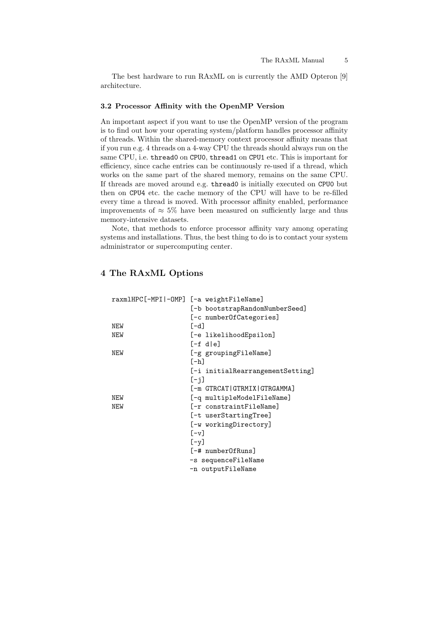The best hardware to run RAxML on is currently the AMD Opteron [9] architecture.

### 3.2 Processor Affinity with the OpenMP Version

An important aspect if you want to use the OpenMP version of the program is to find out how your operating system/platform handles processor affinity of threads. Within the shared-memory context processor affinity means that if you run e.g. 4 threads on a 4-way CPU the threads should always run on the same CPU, i.e. thread0 on CPU0, thread1 on CPU1 etc. This is important for efficiency, since cache entries can be continuously re-used if a thread, which works on the same part of the shared memory, remains on the same CPU. If threads are moved around e.g. thread0 is initially executed on CPU0 but then on CPU4 etc. the cache memory of the CPU will have to be re-filled every time a thread is moved. With processor affinity enabled, performance improvements of  $\approx 5\%$  have been measured on sufficiently large and thus memory-intensive datasets.

Note, that methods to enforce processor affinity vary among operating systems and installations. Thus, the best thing to do is to contact your system administrator or supercomputing center.

# 4 The RAxML Options

| raxmlHPC[-MPI -OMP] [-a weightFileName] |                                  |
|-----------------------------------------|----------------------------------|
|                                         | [-b bootstrapRandomNumberSeed]   |
|                                         | [-c numberOfCategories]          |
| NEW                                     | $[-d]$                           |
| <b>NEW</b>                              | [-e likelihoodEpsilon]           |
|                                         | [-f dle]                         |
| NEW                                     | [-g groupingFileName]            |
|                                         | $[-h]$                           |
|                                         | [-i initialRearrangementSetting] |
|                                         | $[-i]$                           |
|                                         | [-m GTRCAT GTRMIX GTRGAMMA]      |
| <b>NEW</b>                              | [-q multipleModelFileName]       |
| <b>NEW</b>                              | [-r constraintFileName]          |
|                                         | [-t userStartingTree]            |
|                                         | [-w workingDirectory]            |
|                                         | $[-v]$                           |
|                                         | $[-y]$                           |
|                                         | [-# numberOfRuns]                |
|                                         | -s sequenceFileName              |
|                                         | -n outputFileName                |
|                                         |                                  |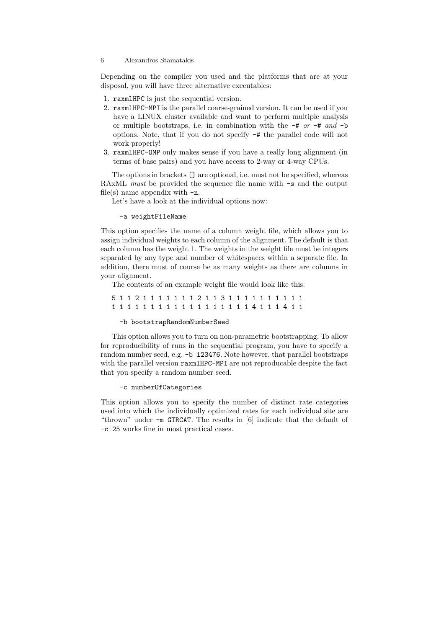Depending on the compiler you used and the platforms that are at your disposal, you will have three alternative executables:

- 1. raxmlHPC is just the sequential version.
- 2. raxmlHPC-MPI is the parallel coarse-grained version. It can be used if you have a LINUX cluster available and want to perform multiple analysis or multiple bootstraps, i.e. in combination with the  $-\#$  or  $-\#$  and  $-\mathbf{b}$ options. Note, that if you do not specify -# the parallel code will not work properly!
- 3. raxmlHPC-OMP only makes sense if you have a really long alignment (in terms of base pairs) and you have access to 2-way or 4-way CPUs.

The options in brackets [] are optional, i.e. must not be specified, whereas RAxML *must* be provided the sequence file name with  $-s$  and the output file(s) name appendix with  $-n$ .

Let's have a look at the individual options now:

### -a weightFileName

This option specifies the name of a column weight file, which allows you to assign individual weights to each column of the alignment. The default is that each column has the weight 1. The weights in the weight file must be integers separated by any type and number of whitespaces within a separate file. In addition, there must of course be as many weights as there are columns in your alignment.

The contents of an example weight file would look like this:

```
5 1 1 2 1 1 1 1 1 1 1 2 1 1 3 1 1 1 1 1 1 1 1 1 1
1 1 1 1 1 1 1 1 1 1 1 1 1 1 1 1 1 4 1 1 1 4 1 1
```
#### -b bootstrapRandomNumberSeed

This option allows you to turn on non-parametric bootstrapping. To allow for reproducibility of runs in the sequential program, you have to specify a random number seed, e.g. -b 123476. Note however, that parallel bootstraps with the parallel version raxmlHPC-MPI are not reproducable despite the fact that you specify a random number seed.

# -c numberOfCategories

This option allows you to specify the number of distinct rate categories used into which the individually optimized rates for each individual site are "thrown" under -m GTRCAT. The results in [6] indicate that the default of -c 25 works fine in most practical cases.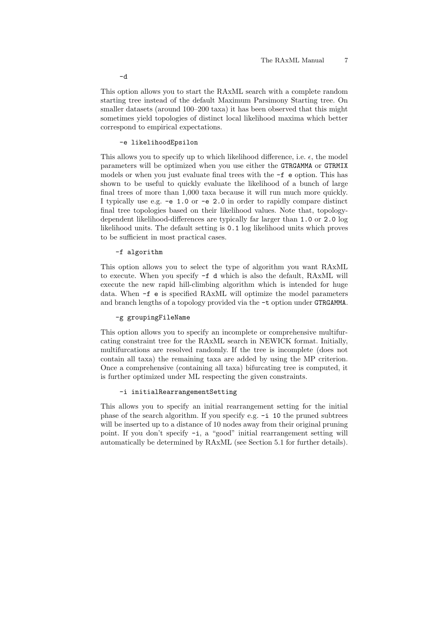This option allows you to start the RAxML search with a complete random starting tree instead of the default Maximum Parsimony Starting tree. On smaller datasets (around 100–200 taxa) it has been observed that this might sometimes yield topologies of distinct local likelihood maxima which better correspond to empirical expectations.

### -e likelihoodEpsilon

This allows you to specify up to which likelihood difference, i.e.  $\epsilon$ , the model parameters will be optimized when you use either the GTRGAMMA or GTRMIX models or when you just evaluate final trees with the -f e option. This has shown to be useful to quickly evaluate the likelihood of a bunch of large final trees of more than 1,000 taxa because it will run much more quickly. I typically use e.g. -e 1.0 or -e 2.0 in order to rapidly compare distinct final tree topologies based on their likelihood values. Note that, topologydependent likelihood-differences are typically far larger than 1.0 or 2.0 log likelihood units. The default setting is 0.1 log likelihood units which proves to be sufficient in most practical cases.

#### -f algorithm

This option allows you to select the type of algorithm you want RAxML to execute. When you specify -f d which is also the default, RAxML will execute the new rapid hill-climbing algorithm which is intended for huge data. When -f e is specified RAxML will optimize the model parameters and branch lengths of a topology provided via the  $-t$  option under GTRGAMMA.

#### -g groupingFileName

This option allows you to specify an incomplete or comprehensive multifurcating constraint tree for the RAxML search in NEWICK format. Initially, multifurcations are resolved randomly. If the tree is incomplete (does not contain all taxa) the remaining taxa are added by using the MP criterion. Once a comprehensive (containing all taxa) bifurcating tree is computed, it is further optimized under ML respecting the given constraints.

### -i initialRearrangementSetting

This allows you to specify an initial rearrangement setting for the initial phase of the search algorithm. If you specify e.g. -i 10 the pruned subtrees will be inserted up to a distance of 10 nodes away from their original pruning point. If you don't specify -i, a "good" initial rearrangement setting will automatically be determined by RAxML (see Section 5.1 for further details).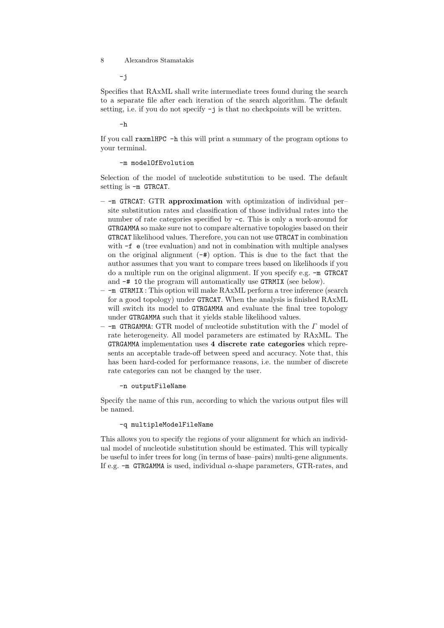-j

Specifies that RAxML shall write intermediate trees found during the search to a separate file after each iteration of the search algorithm. The default setting, i.e. if you do not specify -j is that no checkpoints will be written.

 $-h$ 

If you call raxmlHPC -h this will print a summary of the program options to your terminal.

# -m modelOfEvolution

Selection of the model of nucleotide substitution to be used. The default setting is -m GTRCAT.

- $-$ -m GTRCAT: GTR approximation with optimization of individual persite substitution rates and classification of those individual rates into the number of rate categories specified by -c. This is only a work-around for GTRGAMMA so make sure not to compare alternative topologies based on their GTRCAT likelihood values. Therefore, you can not use GTRCAT in combination with  $-f \cdot e$  (tree evaluation) and not in combination with multiple analyses on the original alignment  $(-#)$  option. This is due to the fact that the author assumes that you want to compare trees based on likelihoods if you do a multiple run on the original alignment. If you specify e.g. -m GTRCAT and -# 10 the program will automatically use GTRMIX (see below).
- $-$  -m GTRMIX : This option will make RAxML perform a tree inference (search for a good topology) under GTRCAT. When the analysis is finished RAxML will switch its model to GTRGAMMA and evaluate the final tree topology under GTRGAMMA such that it yields stable likelihood values.
- $-$  -m GTRGAMMA: GTR model of nucleotide substitution with the  $\Gamma$  model of rate heterogeneity. All model parameters are estimated by RAxML. The GTRGAMMA implementation uses 4 discrete rate categories which represents an acceptable trade-off between speed and accuracy. Note that, this has been hard-coded for performance reasons, i.e. the number of discrete rate categories can not be changed by the user.

#### -n outputFileName

Specify the name of this run, according to which the various output files will be named.

#### -q multipleModelFileName

This allows you to specify the regions of your alignment for which an individual model of nucleotide substitution should be estimated. This will typically be useful to infer trees for long (in terms of base–pairs) multi-gene alignments. If e.g.  $-\text{m}$  GTRGAMMA is used, individual  $\alpha$ -shape parameters, GTR-rates, and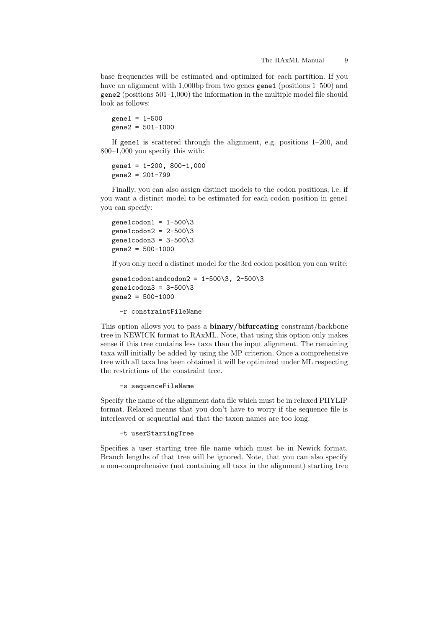base frequencies will be estimated and optimized for each partition. If you have an alignment with 1,000 bp from two genes gene1 (positions 1–500) and gene2 (positions 501–1,000) the information in the multiple model file should look as follows:

 $gene1 = 1 - 500$  $gene2 = 501-1000$ 

If gene1 is scattered through the alignment, e.g. positions 1–200, and 800–1,000 you specify this with:

 $gene1 = 1-200, 800-1,000$ gene2 = 201-799

Finally, you can also assign distinct models to the codon positions, i.e. if you want a distinct model to be estimated for each codon position in gene1 you can specify:

```
gene1codon1 = 1-500\overline{\smash{3}}gene1codon2 = 2-500\overline{\smash{3}}gene1codon3 = 3-500\3
gene2 = 500-1000
```
If you only need a distinct model for the 3rd codon position you can write:

```
gene1codon1andcodon2 = 1-500\3, 2-500\3
gene1codon3 = 3-500\overline{3}gene2 = 500-1000
```
-r constraintFileName

This option allows you to pass a binary/bifurcating constraint/backbone tree in NEWICK format to RAxML. Note, that using this option only makes sense if this tree contains less taxa than the input alignment. The remaining taxa will initially be added by using the MP criterion. Once a comprehensive tree with all taxa has been obtained it will be optimized under ML respecting the restrictions of the constraint tree.

-s sequenceFileName

Specify the name of the alignment data file which must be in relaxed PHYLIP format. Relaxed means that you don't have to worry if the sequence file is interleaved or sequential and that the taxon names are too long.

```
-t userStartingTree
```
Specifies a user starting tree file name which must be in Newick format. Branch lengths of that tree will be ignored. Note, that you can also specify a non-comprehensive (not containing all taxa in the alignment) starting tree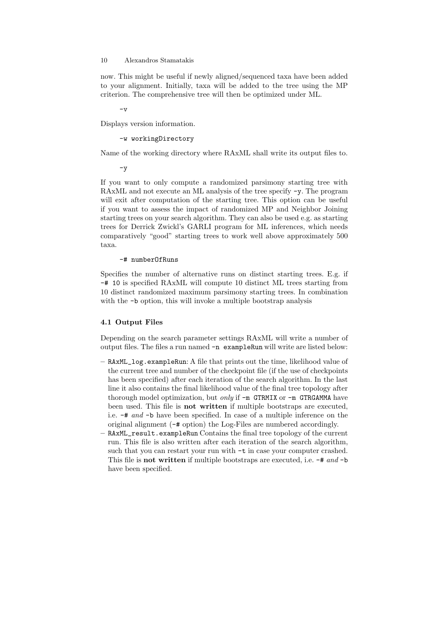now. This might be useful if newly aligned/sequenced taxa have been added to your alignment. Initially, taxa will be added to the tree using the MP criterion. The comprehensive tree will then be optimized under ML.

 $-\mathbf{v}$ 

Displays version information.

-w workingDirectory

Name of the working directory where RAxML shall write its output files to.

 $-y$ 

If you want to only compute a randomized parsimony starting tree with RAxML and not execute an ML analysis of the tree specify -y. The program will exit after computation of the starting tree. This option can be useful if you want to assess the impact of randomized MP and Neighbor Joining starting trees on your search algorithm. They can also be used e.g. as starting trees for Derrick Zwickl's GARLI program for ML inferences, which needs comparatively "good" starting trees to work well above approximately 500 taxa.

#### -# numberOfRuns

Specifies the number of alternative runs on distinct starting trees. E.g. if -# 10 is specified RAxML will compute 10 distinct ML trees starting from 10 distinct randomized maximum parsimony starting trees. In combination with the  $-b$  option, this will invoke a multiple bootstrap analysis

### 4.1 Output Files

Depending on the search parameter settings RAxML will write a number of output files. The files a run named -n exampleRun will write are listed below:

- RAxML\_log.exampleRun: A file that prints out the time, likelihood value of the current tree and number of the checkpoint file (if the use of checkpoints has been specified) after each iteration of the search algorithm. In the last line it also contains the final likelihood value of the final tree topology after thorough model optimization, but *only* if  $-m$  GTRMIX or  $-m$  GTRGAMMA have been used. This file is not written if multiple bootstraps are executed, i.e. -# and -b have been specified. In case of a multiple inference on the original alignment (-# option) the Log-Files are numbered accordingly.
- RAxML\_result.exampleRun Contains the final tree topology of the current run. This file is also written after each iteration of the search algorithm, such that you can restart your run with -t in case your computer crashed. This file is not written if multiple bootstraps are executed, i.e. -# and -b have been specified.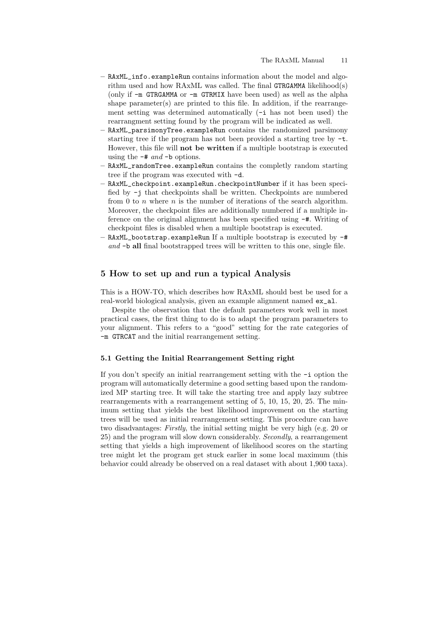- RAxML\_info.exampleRun contains information about the model and algorithm used and how RAxML was called. The final GTRGAMMA likelihood(s) (only if -m GTRGAMMA or -m GTRMIX have been used) as well as the alpha shape parameter(s) are printed to this file. In addition, if the rearrangement setting was determined automatically (-i has not been used) the rearrangment setting found by the program will be indicated as well.
- RAxML\_parsimonyTree.exampleRun contains the randomized parsimony starting tree if the program has not been provided a starting tree by -t. However, this file will not be written if a multiple bootstrap is executed using the  $-\#$  and  $-\mathbf{b}$  options.
- RAxML\_randomTree.exampleRun contains the completly random starting tree if the program was executed with -d.
- RAxML\_checkpoint.exampleRun.checkpointNumber if it has been specified by -j that checkpoints shall be written. Checkpoints are numbered from 0 to  $n$  where  $n$  is the number of iterations of the search algorithm. Moreover, the checkpoint files are additionally numbered if a multiple inference on the original alignment has been specified using -#. Writing of checkpoint files is disabled when a multiple bootstrap is executed.
- RAxML\_bootstrap.exampleRun If a multiple bootstrap is executed by -# and -b all final bootstrapped trees will be written to this one, single file.

# 5 How to set up and run a typical Analysis

This is a HOW-TO, which describes how RAxML should best be used for a real-world biological analysis, given an example alignment named ex\_al.

Despite the observation that the default parameters work well in most practical cases, the first thing to do is to adapt the program parameters to your alignment. This refers to a "good" setting for the rate categories of -m GTRCAT and the initial rearrangement setting.

### 5.1 Getting the Initial Rearrangement Setting right

If you don't specify an initial rearrangement setting with the -i option the program will automatically determine a good setting based upon the randomized MP starting tree. It will take the starting tree and apply lazy subtree rearrangements with a rearrangement setting of 5, 10, 15, 20, 25. The minimum setting that yields the best likelihood improvement on the starting trees will be used as initial rearrangement setting. This procedure can have two disadvantages: Firstly, the initial setting might be very high (e.g. 20 or  $25$ ) and the program will slow down considerably. *Secondly*, a rearrangement setting that yields a high improvement of likelihood scores on the starting tree might let the program get stuck earlier in some local maximum (this behavior could already be observed on a real dataset with about 1,900 taxa).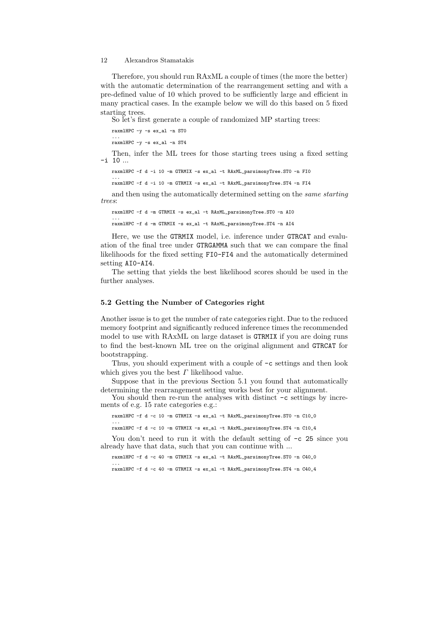Therefore, you should run RAxML a couple of times (the more the better) with the automatic determination of the rearrangement setting and with a pre-defined value of 10 which proved to be sufficiently large and efficient in many practical cases. In the example below we will do this based on 5 fixed starting trees.

So let's first generate a couple of randomized MP starting trees:

raxmlHPC -y -s ex\_al -n ST0

... raxmlHPC -y -s ex\_al -n ST4

Then, infer the ML trees for those starting trees using a fixed setting -i 10 ...

raxmlHPC -f d -i 10 -m GTRMIX -s ex\_al -t RAxML\_parsimonyTree.ST0 -n FI0

... raxmlHPC -f d -i 10 -m GTRMIX -s ex\_al -t RAxML\_parsimonyTree.ST4 -n FI4

and then using the automatically determined setting on the same starting trees:

raxmlHPC -f d -m GTRMIX -s ex\_al -t RAxML\_parsimonyTree.ST0 -n AI0 ... raxmlHPC -f d -m GTRMIX -s ex\_al -t RAxML\_parsimonyTree.ST4 -n AI4

Here, we use the GTRMIX model, i.e. inference under GTRCAT and evaluation of the final tree under GTRGAMMA such that we can compare the final likelihoods for the fixed setting FI0-FI4 and the automatically determined setting AI0-AI4.

The setting that yields the best likelihood scores should be used in the further analyses.

### 5.2 Getting the Number of Categories right

Another issue is to get the number of rate categories right. Due to the reduced memory footprint and significantly reduced inference times the recommended model to use with RAxML on large dataset is GTRMIX if you are doing runs to find the best-known ML tree on the original alignment and GTRCAT for bootstrapping.

Thus, you should experiment with a couple of -c settings and then look which gives you the best  $\Gamma$  likelihood value.

Suppose that in the previous Section 5.1 you found that automatically determining the rearrangement setting works best for your alignment.

You should then re-run the analyses with distinct  $-c$  settings by increments of e.g. 15 rate categories e.g.:

raxmlHPC -f d -c 10 -m GTRMIX -s ex\_al -t RAxML\_parsimonyTree.ST0 -n C10\_0

... raxmlHPC -f d -c 10 -m GTRMIX -s ex\_al -t RAxML\_parsimonyTree.ST4 -n C10\_4

You don't need to run it with the default setting of  $-c$  25 since you already have that data, such that you can continue with ...

raxmlHPC -f d -c 40 -m GTRMIX -s ex\_al -t RAxML\_parsimonyTree.ST0 -n C40\_0

... raxmlHPC -f d -c 40 -m GTRMIX -s ex\_al -t RAxML\_parsimonyTree.ST4 -n C40\_4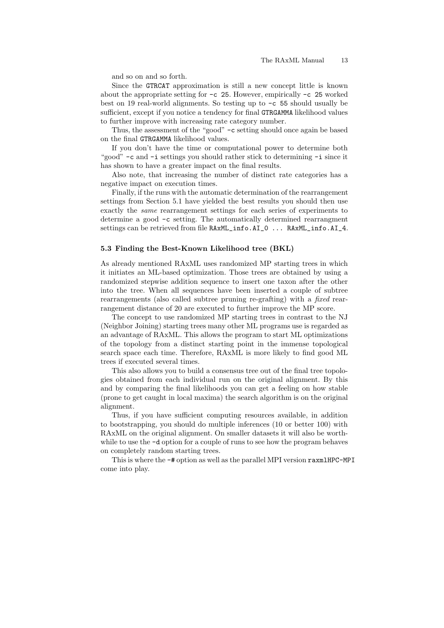and so on and so forth.

Since the GTRCAT approximation is still a new concept little is known about the appropriate setting for  $-c$  25. However, empirically  $-c$  25 worked best on 19 real-world alignments. So testing up to -c 55 should usually be sufficient, except if you notice a tendency for final GTRGAMMA likelihood values to further improve with increasing rate category number.

Thus, the assessment of the "good" -c setting should once again be based on the final GTRGAMMA likelihood values.

If you don't have the time or computational power to determine both "good" -c and -i settings you should rather stick to determining -i since it has shown to have a greater impact on the final results.

Also note, that increasing the number of distinct rate categories has a negative impact on execution times.

Finally, if the runs with the automatic determination of the rearrangement settings from Section 5.1 have yielded the best results you should then use exactly the same rearrangement settings for each series of experiments to determine a good -c setting. The automatically determined rearrangment settings can be retrieved from file RAxML\_info.AI\_0 ... RAxML\_info.AI\_4.

### 5.3 Finding the Best-Known Likelihood tree (BKL)

As already mentioned RAxML uses randomized MP starting trees in which it initiates an ML-based optimization. Those trees are obtained by using a randomized stepwise addition sequence to insert one taxon after the other into the tree. When all sequences have been inserted a couple of subtree rearrangements (also called subtree pruning re-grafting) with a fixed rearrangement distance of 20 are executed to further improve the MP score.

The concept to use randomized MP starting trees in contrast to the NJ (Neighbor Joining) starting trees many other ML programs use is regarded as an advantage of RAxML. This allows the program to start ML optimizations of the topology from a distinct starting point in the immense topological search space each time. Therefore, RAxML is more likely to find good ML trees if executed several times.

This also allows you to build a consensus tree out of the final tree topologies obtained from each individual run on the original alignment. By this and by comparing the final likelihoods you can get a feeling on how stable (prone to get caught in local maxima) the search algorithm is on the original alignment.

Thus, if you have sufficient computing resources available, in addition to bootstrapping, you should do multiple inferences (10 or better 100) with RAxML on the original alignment. On smaller datasets it will also be worthwhile to use the  $-d$  option for a couple of runs to see how the program behaves on completely random starting trees.

This is where the  $-\#$  option as well as the parallel MPI version raxmlHPC-MPI come into play.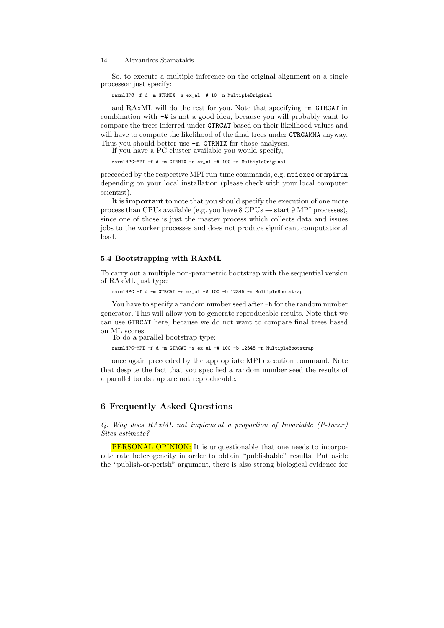So, to execute a multiple inference on the original alignment on a single processor just specify:

raxmlHPC -f d -m GTRMIX -s ex\_al -# 10 -n MultipleOriginal

and RAxML will do the rest for you. Note that specifying  $-m$  GTRCAT in combination with -# is not a good idea, because you will probably want to compare the trees inferred under GTRCAT based on their likelihood values and will have to compute the likelihood of the final trees under GTRGAMMA anyway. Thus you should better use  $-m$  GTRMIX for those analyses.

If you have a PC cluster available you would specify,

raxmlHPC-MPI -f d -m GTRMIX -s ex\_al -# 100 -n MultipleOriginal

preceeded by the respective MPI run-time commands, e.g. mpiexec or mpirun depending on your local installation (please check with your local computer scientist).

It is important to note that you should specify the execution of one more process than CPUs available (e.g. you have  $8$  CPUs  $\rightarrow$  start 9 MPI processes), since one of those is just the master process which collects data and issues jobs to the worker processes and does not produce significant computational load.

#### 5.4 Bootstrapping with RAxML

To carry out a multiple non-parametric bootstrap with the sequential version of RAxML just type:

raxmlHPC -f d -m GTRCAT -s ex\_al -# 100 -b 12345 -n MultipleBootstrap

You have to specify a random number seed after  $-b$  for the random number generator. This will allow you to generate reproducable results. Note that we can use GTRCAT here, because we do not want to compare final trees based on ML scores.

To do a parallel bootstrap type:

raxmlHPC-MPI -f d -m GTRCAT -s ex\_al -# 100 -b 12345 -n MultipleBootstrap

once again preceeded by the appropriate MPI execution command. Note that despite the fact that you specified a random number seed the results of a parallel bootstrap are not reproducable.

# 6 Frequently Asked Questions

Q: Why does RAxML not implement a proportion of Invariable (P-Invar) Sites estimate?

PERSONAL OPINION: It is unquestionable that one needs to incorporate rate heterogeneity in order to obtain "publishable" results. Put aside the "publish-or-perish" argument, there is also strong biological evidence for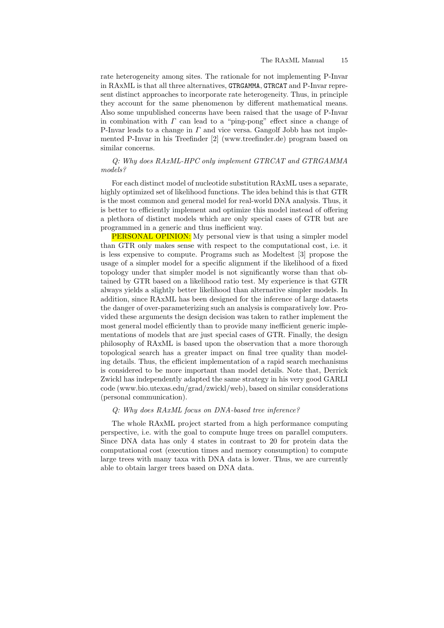rate heterogeneity among sites. The rationale for not implementing P-Invar in RAxML is that all three alternatives, GTRGAMMA, GTRCAT and P-Invar represent distinct approaches to incorporate rate heterogeneity. Thus, in principle they account for the same phenomenon by different mathematical means. Also some unpublished concerns have been raised that the usage of P-Invar in combination with  $\Gamma$  can lead to a "ping-pong" effect since a change of P-Invar leads to a change in  $\Gamma$  and vice versa. Gangolf Jobb has not implemented P-Invar in his Treefinder [2] (www.treefinder.de) program based on similar concerns.

# Q: Why does RAxML-HPC only implement GTRCAT and GTRGAMMA models?

For each distinct model of nucleotide substitution RAxML uses a separate, highly optimized set of likelihood functions. The idea behind this is that GTR is the most common and general model for real-world DNA analysis. Thus, it is better to efficiently implement and optimize this model instead of offering a plethora of distinct models which are only special cases of GTR but are programmed in a generic and thus inefficient way.

PERSONAL OPINION: My personal view is that using a simpler model than GTR only makes sense with respect to the computational cost, i.e. it is less expensive to compute. Programs such as Modeltest [3] propose the usage of a simpler model for a specific alignment if the likelihood of a fixed topology under that simpler model is not significantly worse than that obtained by GTR based on a likelihood ratio test. My experience is that GTR always yields a slightly better likelihood than alternative simpler models. In addition, since RAxML has been designed for the inference of large datasets the danger of over-parameterizing such an analysis is comparatively low. Provided these arguments the design decision was taken to rather implement the most general model efficiently than to provide many inefficient generic implementations of models that are just special cases of GTR. Finally, the design philosophy of RAxML is based upon the observation that a more thorough topological search has a greater impact on final tree quality than modeling details. Thus, the efficient implementation of a rapid search mechanisms is considered to be more important than model details. Note that, Derrick Zwickl has independently adapted the same strategy in his very good GARLI code (www.bio.utexas.edu/grad/zwickl/web), based on similar considerations (personal communication).

# Q: Why does RAxML focus on DNA-based tree inference?

The whole RAxML project started from a high performance computing perspective, i.e. with the goal to compute huge trees on parallel computers. Since DNA data has only 4 states in contrast to 20 for protein data the computational cost (execution times and memory consumption) to compute large trees with many taxa with DNA data is lower. Thus, we are currently able to obtain larger trees based on DNA data.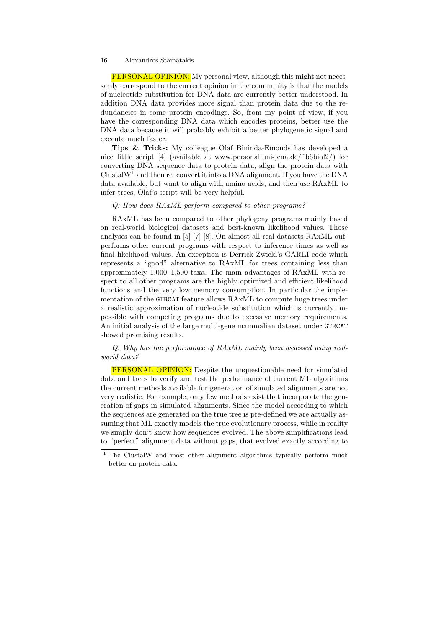PERSONAL OPINION: My personal view, although this might not necessarily correspond to the current opinion in the community is that the models of nucleotide substitution for DNA data are currently better understood. In addition DNA data provides more signal than protein data due to the redundancies in some protein encodings. So, from my point of view, if you have the corresponding DNA data which encodes proteins, better use the DNA data because it will probably exhibit a better phylogenetic signal and execute much faster.

Tips & Tricks: My colleague Olaf Bininda-Emonds has developed a nice little script [4] (available at www.personal.uni-jena.de/˜b6biol2/) for converting DNA sequence data to protein data, align the protein data with Clustal $W<sup>1</sup>$  and then re–convert it into a DNA alignment. If you have the DNA data available, but want to align with amino acids, and then use RAxML to infer trees, Olaf's script will be very helpful.

#### Q: How does RAxML perform compared to other programs?

RAxML has been compared to other phylogeny programs mainly based on real-world biological datasets and best-known likelihood values. Those analyses can be found in [5] [7] [8]. On almost all real datasets RAxML outperforms other current programs with respect to inference times as well as final likelihood values. An exception is Derrick Zwickl's GARLI code which represents a "good" alternative to RAxML for trees containing less than approximately 1,000–1,500 taxa. The main advantages of RAxML with respect to all other programs are the highly optimized and efficient likelihood functions and the very low memory consumption. In particular the implementation of the GTRCAT feature allows RAxML to compute huge trees under a realistic approximation of nucleotide substitution which is currently impossible with competing programs due to excessive memory requirements. An initial analysis of the large multi-gene mammalian dataset under GTRCAT showed promising results.

Q: Why has the performance of RAxML mainly been assessed using realworld data?

PERSONAL OPINION: Despite the unquestionable need for simulated data and trees to verify and test the performance of current ML algorithms the current methods available for generation of simulated alignments are not very realistic. For example, only few methods exist that incorporate the generation of gaps in simulated alignments. Since the model according to which the sequences are generated on the true tree is pre-defined we are actually assuming that ML exactly models the true evolutionary process, while in reality we simply don't know how sequences evolved. The above simplifications lead to "perfect" alignment data without gaps, that evolved exactly according to

<sup>&</sup>lt;sup>1</sup> The ClustalW and most other alignment algorithms typically perform much better on protein data.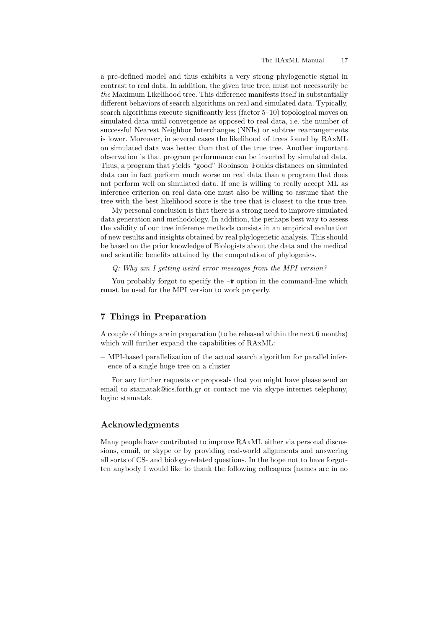a pre-defined model and thus exhibits a very strong phylogenetic signal in contrast to real data. In addition, the given true tree, must not necessarily be the Maximum Likelihood tree. This difference manifests itself in substantially different behaviors of search algorithms on real and simulated data. Typically, search algorithms execute significantly less (factor 5–10) topological moves on simulated data until convergence as opposed to real data, i.e. the number of successful Nearest Neighbor Interchanges (NNIs) or subtree rearrangements is lower. Moreover, in several cases the likelihood of trees found by RAxML on simulated data was better than that of the true tree. Another important observation is that program performance can be inverted by simulated data. Thus, a program that yields "good" Robinson–Foulds distances on simulated data can in fact perform much worse on real data than a program that does not perform well on simulated data. If one is willing to really accept ML as inference criterion on real data one must also be willing to assume that the tree with the best likelihood score is the tree that is closest to the true tree.

My personal conclusion is that there is a strong need to improve simulated data generation and methodology. In addition, the perhaps best way to assess the validity of our tree inference methods consists in an empirical evaluation of new results and insights obtained by real phylogenetic analysis. This should be based on the prior knowledge of Biologists about the data and the medical and scientific benefits attained by the computation of phylogenies.

# Q: Why am I getting weird error messages from the MPI version?

You probably forgot to specify the  $-\#$  option in the command-line which must be used for the MPI version to work properly.

# 7 Things in Preparation

A couple of things are in preparation (to be released within the next 6 months) which will further expand the capabilities of RAxML:

– MPI-based parallelization of the actual search algorithm for parallel inference of a single huge tree on a cluster

For any further requests or proposals that you might have please send an email to stamatak@ics.forth.gr or contact me via skype internet telephony, login: stamatak.

# Acknowledgments

Many people have contributed to improve RAxML either via personal discussions, email, or skype or by providing real-world alignments and answering all sorts of CS- and biology-related questions. In the hope not to have forgotten anybody I would like to thank the following colleagues (names are in no